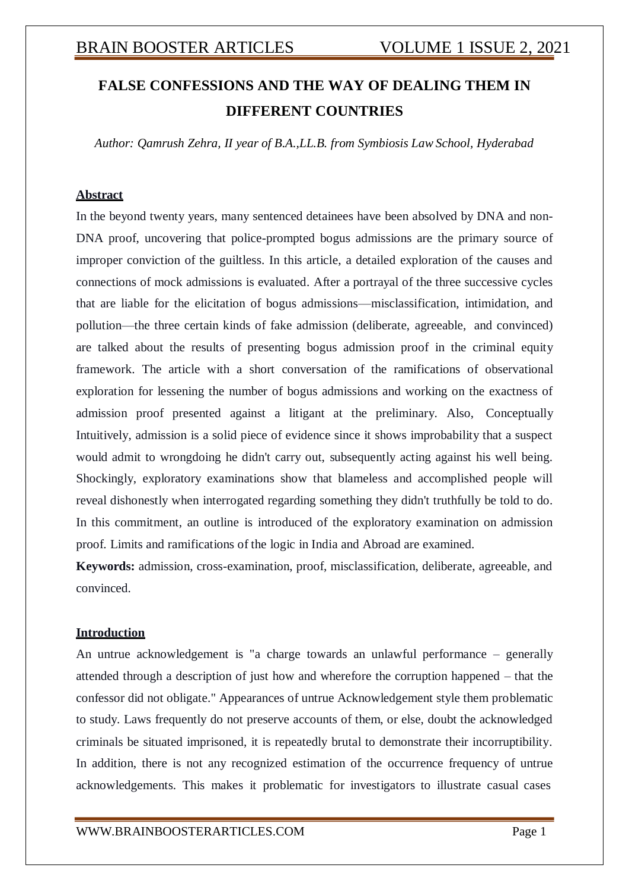# **FALSE CONFESSIONS AND THE WAY OF DEALING THEM IN DIFFERENT COUNTRIES**

*Author: Qamrush Zehra, II year of B.A.,LL.B. from Symbiosis Law School, Hyderabad*

## **Abstract**

In the beyond twenty years, many sentenced detainees have been absolved by DNA and non-DNA proof, uncovering that police-prompted bogus admissions are the primary source of improper conviction of the guiltless. In this article, a detailed exploration of the causes and connections of mock admissions is evaluated. After a portrayal of the three successive cycles that are liable for the elicitation of bogus admissions—misclassification, intimidation, and pollution—the three certain kinds of fake admission (deliberate, agreeable, and convinced) are talked about the results of presenting bogus admission proof in the criminal equity framework. The article with a short conversation of the ramifications of observational exploration for lessening the number of bogus admissions and working on the exactness of admission proof presented against a litigant at the preliminary. Also, Conceptually Intuitively, admission is a solid piece of evidence since it shows improbability that a suspect would admit to wrongdoing he didn't carry out, subsequently acting against his well being. Shockingly, exploratory examinations show that blameless and accomplished people will reveal dishonestly when interrogated regarding something they didn't truthfully be told to do. In this commitment, an outline is introduced of the exploratory examination on admission proof. Limits and ramifications of the logic in India and Abroad are examined.

**Keywords:** admission, cross-examination, proof, misclassification, deliberate, agreeable, and convinced.

### **Introduction**

An untrue acknowledgement is "a charge towards an unlawful performance – generally attended through a description of just how and wherefore the corruption happened – that the confessor did not obligate." Appearances of untrue Acknowledgement style them problematic to study. Laws frequently do not preserve accounts of them, or else, doubt the acknowledged criminals be situated imprisoned, it is repeatedly brutal to demonstrate their incorruptibility. In addition, there is not any recognized estimation of the occurrence frequency of untrue acknowledgements. This makes it problematic for investigators to illustrate casual cases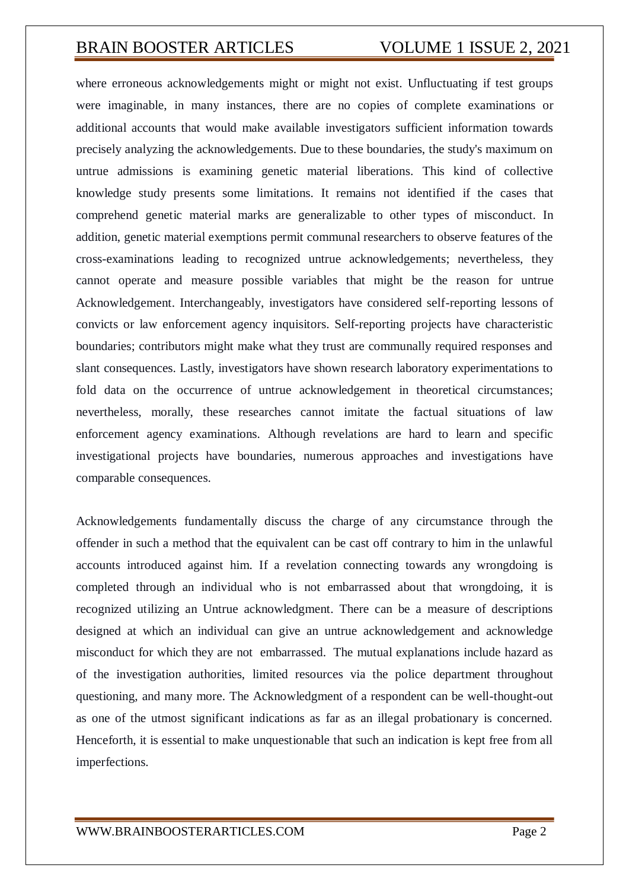where erroneous acknowledgements might or might not exist. Unfluctuating if test groups were imaginable, in many instances, there are no copies of complete examinations or additional accounts that would make available investigators sufficient information towards precisely analyzing the acknowledgements. Due to these boundaries, the study's maximum on untrue admissions is examining genetic material liberations. This kind of collective knowledge study presents some limitations. It remains not identified if the cases that comprehend genetic material marks are generalizable to other types of misconduct. In addition, genetic material exemptions permit communal researchers to observe features of the cross-examinations leading to recognized untrue acknowledgements; nevertheless, they cannot operate and measure possible variables that might be the reason for untrue Acknowledgement. Interchangeably, investigators have considered self-reporting lessons of convicts or law enforcement agency inquisitors. Self-reporting projects have characteristic boundaries; contributors might make what they trust are communally required responses and slant consequences. Lastly, investigators have shown research laboratory experimentations to fold data on the occurrence of untrue acknowledgement in theoretical circumstances; nevertheless, morally, these researches cannot imitate the factual situations of law enforcement agency examinations. Although revelations are hard to learn and specific investigational projects have boundaries, numerous approaches and investigations have comparable consequences.

Acknowledgements fundamentally discuss the charge of any circumstance through the offender in such a method that the equivalent can be cast off contrary to him in the unlawful accounts introduced against him. If a revelation connecting towards any wrongdoing is completed through an individual who is not embarrassed about that wrongdoing, it is recognized utilizing an Untrue acknowledgment. There can be a measure of descriptions designed at which an individual can give an untrue acknowledgement and acknowledge misconduct for which they are not embarrassed. The mutual explanations include hazard as of the investigation authorities, limited resources via the police department throughout questioning, and many more. The Acknowledgment of a respondent can be well-thought-out as one of the utmost significant indications as far as an illegal probationary is concerned. Henceforth, it is essential to make unquestionable that such an indication is kept free from all imperfections.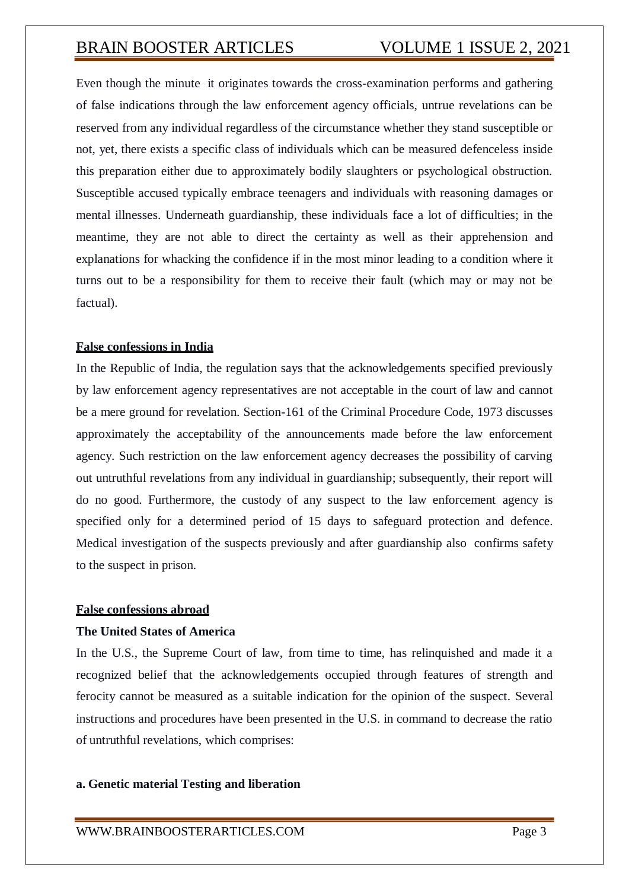Even though the minute it originates towards the cross-examination performs and gathering of false indications through the law enforcement agency officials, untrue revelations can be reserved from any individual regardless of the circumstance whether they stand susceptible or not, yet, there exists a specific class of individuals which can be measured defenceless inside this preparation either due to approximately bodily slaughters or psychological obstruction. Susceptible accused typically embrace teenagers and individuals with reasoning damages or mental illnesses. Underneath guardianship, these individuals face a lot of difficulties; in the meantime, they are not able to direct the certainty as well as their apprehension and explanations for whacking the confidence if in the most minor leading to a condition where it turns out to be a responsibility for them to receive their fault (which may or may not be factual).

## **False confessions in India**

In the Republic of India, the regulation says that the acknowledgements specified previously by law enforcement agency representatives are not acceptable in the court of law and cannot be a mere ground for revelation. Section-161 of the Criminal Procedure Code, 1973 discusses approximately the acceptability of the announcements made before the law enforcement agency. Such restriction on the law enforcement agency decreases the possibility of carving out untruthful revelations from any individual in guardianship; subsequently, their report will do no good. Furthermore, the custody of any suspect to the law enforcement agency is specified only for a determined period of 15 days to safeguard protection and defence. Medical investigation of the suspects previously and after guardianship also confirms safety to the suspect in prison.

## **False confessions abroad**

## **The United States of America**

In the U.S., the Supreme Court of law, from time to time, has relinquished and made it a recognized belief that the acknowledgements occupied through features of strength and ferocity cannot be measured as a suitable indication for the opinion of the suspect. Several instructions and procedures have been presented in the U.S. in command to decrease the ratio of untruthful revelations, which comprises:

## **a. Genetic material Testing and liberation**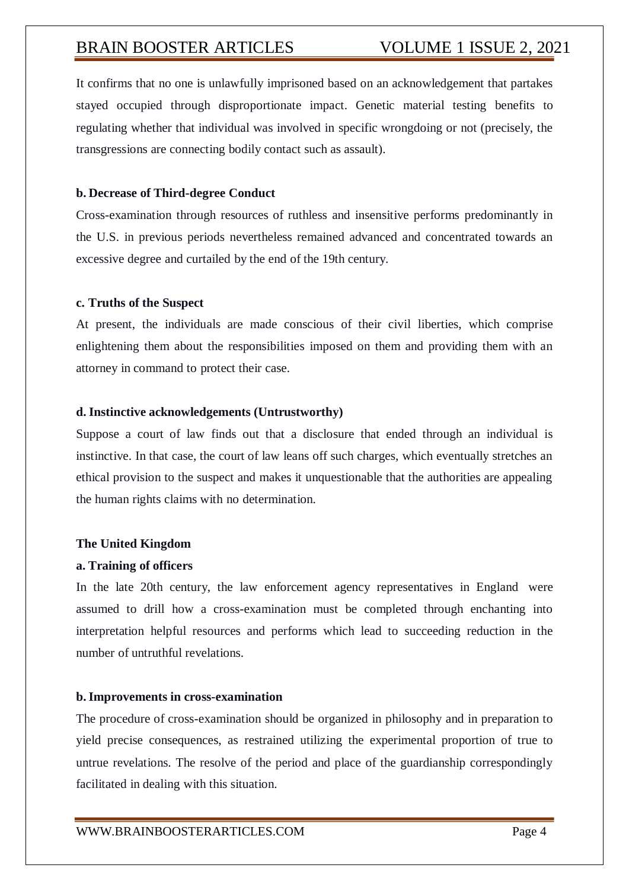It confirms that no one is unlawfully imprisoned based on an acknowledgement that partakes stayed occupied through disproportionate impact. Genetic material testing benefits to regulating whether that individual was involved in specific wrongdoing or not (precisely, the transgressions are connecting bodily contact such as assault).

### **b. Decrease of Third-degree Conduct**

Cross-examination through resources of ruthless and insensitive performs predominantly in the U.S. in previous periods nevertheless remained advanced and concentrated towards an excessive degree and curtailed by the end of the 19th century.

#### **c. Truths of the Suspect**

At present, the individuals are made conscious of their civil liberties, which comprise enlightening them about the responsibilities imposed on them and providing them with an attorney in command to protect their case.

#### **d. Instinctive acknowledgements (Untrustworthy)**

Suppose a court of law finds out that a disclosure that ended through an individual is instinctive. In that case, the court of law leans off such charges, which eventually stretches an ethical provision to the suspect and makes it unquestionable that the authorities are appealing the human rights claims with no determination.

#### **The United Kingdom**

#### **a. Training of officers**

In the late 20th century, the law enforcement agency representatives in England were assumed to drill how a cross-examination must be completed through enchanting into interpretation helpful resources and performs which lead to succeeding reduction in the number of untruthful revelations.

### **b.Improvements in cross-examination**

The procedure of cross-examination should be organized in philosophy and in preparation to yield precise consequences, as restrained utilizing the experimental proportion of true to untrue revelations. The resolve of the period and place of the guardianship correspondingly facilitated in dealing with this situation.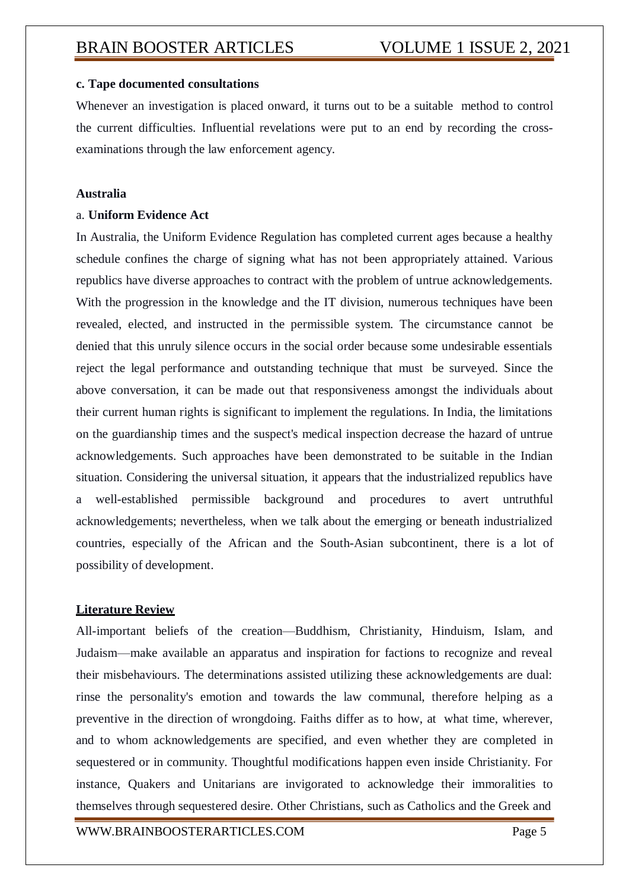### **c. Tape documented consultations**

Whenever an investigation is placed onward, it turns out to be a suitable method to control the current difficulties. Influential revelations were put to an end by recording the crossexaminations through the law enforcement agency.

## **Australia**

### a. **Uniform Evidence Act**

In Australia, the Uniform Evidence Regulation has completed current ages because a healthy schedule confines the charge of signing what has not been appropriately attained. Various republics have diverse approaches to contract with the problem of untrue acknowledgements. With the progression in the knowledge and the IT division, numerous techniques have been revealed, elected, and instructed in the permissible system. The circumstance cannot be denied that this unruly silence occurs in the social order because some undesirable essentials reject the legal performance and outstanding technique that must be surveyed. Since the above conversation, it can be made out that responsiveness amongst the individuals about their current human rights is significant to implement the regulations. In India, the limitations on the guardianship times and the suspect's medical inspection decrease the hazard of untrue acknowledgements. Such approaches have been demonstrated to be suitable in the Indian situation. Considering the universal situation, it appears that the industrialized republics have a well-established permissible background and procedures to avert untruthful acknowledgements; nevertheless, when we talk about the emerging or beneath industrialized countries, especially of the African and the South-Asian subcontinent, there is a lot of possibility of development.

### **Literature Review**

All-important beliefs of the creation—Buddhism, Christianity, Hinduism, Islam, and Judaism—make available an apparatus and inspiration for factions to recognize and reveal their misbehaviours. The determinations assisted utilizing these acknowledgements are dual: rinse the personality's emotion and towards the law communal, therefore helping as a preventive in the direction of wrongdoing. Faiths differ as to how, at what time, wherever, and to whom acknowledgements are specified, and even whether they are completed in sequestered or in community. Thoughtful modifications happen even inside Christianity. For instance, Quakers and Unitarians are invigorated to acknowledge their immoralities to themselves through sequestered desire. Other Christians, such as Catholics and the Greek and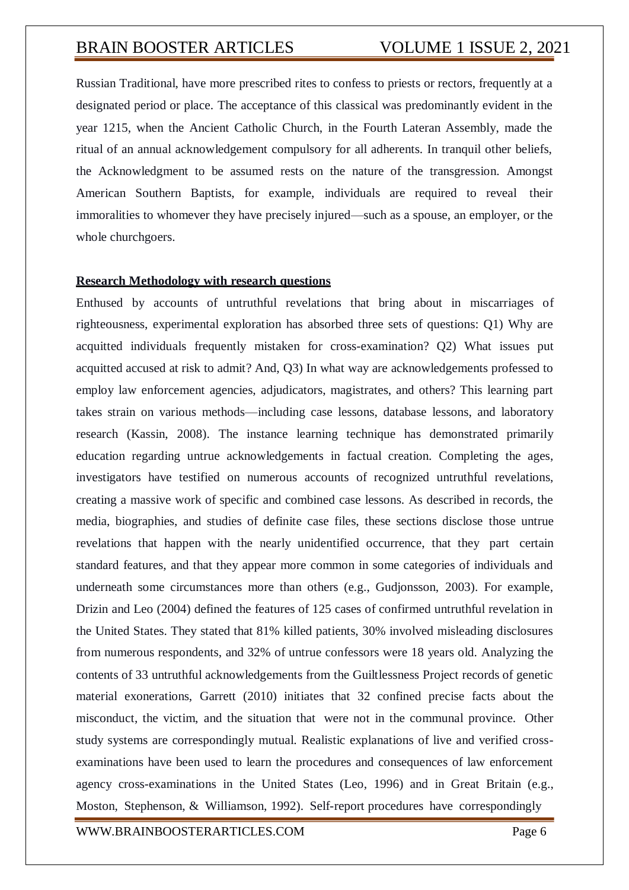Russian Traditional, have more prescribed rites to confess to priests or rectors, frequently at a designated period or place. The acceptance of this classical was predominantly evident in the year 1215, when the Ancient Catholic Church, in the Fourth Lateran Assembly, made the ritual of an annual acknowledgement compulsory for all adherents. In tranquil other beliefs, the Acknowledgment to be assumed rests on the nature of the transgression. Amongst American Southern Baptists, for example, individuals are required to reveal their immoralities to whomever they have precisely injured—such as a spouse, an employer, or the whole churchgoers.

#### **Research Methodology with research questions**

Enthused by accounts of untruthful revelations that bring about in miscarriages of righteousness, experimental exploration has absorbed three sets of questions: Q1) Why are acquitted individuals frequently mistaken for cross-examination? Q2) What issues put acquitted accused at risk to admit? And, Q3) In what way are acknowledgements professed to employ law enforcement agencies, adjudicators, magistrates, and others? This learning part takes strain on various methods—including case lessons, database lessons, and laboratory research (Kassin, 2008). The instance learning technique has demonstrated primarily education regarding untrue acknowledgements in factual creation. Completing the ages, investigators have testified on numerous accounts of recognized untruthful revelations, creating a massive work of specific and combined case lessons. As described in records, the media, biographies, and studies of definite case files, these sections disclose those untrue revelations that happen with the nearly unidentified occurrence, that they part certain standard features, and that they appear more common in some categories of individuals and underneath some circumstances more than others (e.g., Gudjonsson, 2003). For example, Drizin and Leo (2004) defined the features of 125 cases of confirmed untruthful revelation in the United States. They stated that 81% killed patients, 30% involved misleading disclosures from numerous respondents, and 32% of untrue confessors were 18 years old. Analyzing the contents of 33 untruthful acknowledgements from the Guiltlessness Project records of genetic material exonerations, Garrett (2010) initiates that 32 confined precise facts about the misconduct, the victim, and the situation that were not in the communal province. Other study systems are correspondingly mutual. Realistic explanations of live and verified crossexaminations have been used to learn the procedures and consequences of law enforcement agency cross-examinations in the United States (Leo, 1996) and in Great Britain (e.g., Moston, Stephenson, & Williamson, 1992). Self-report procedures have correspondingly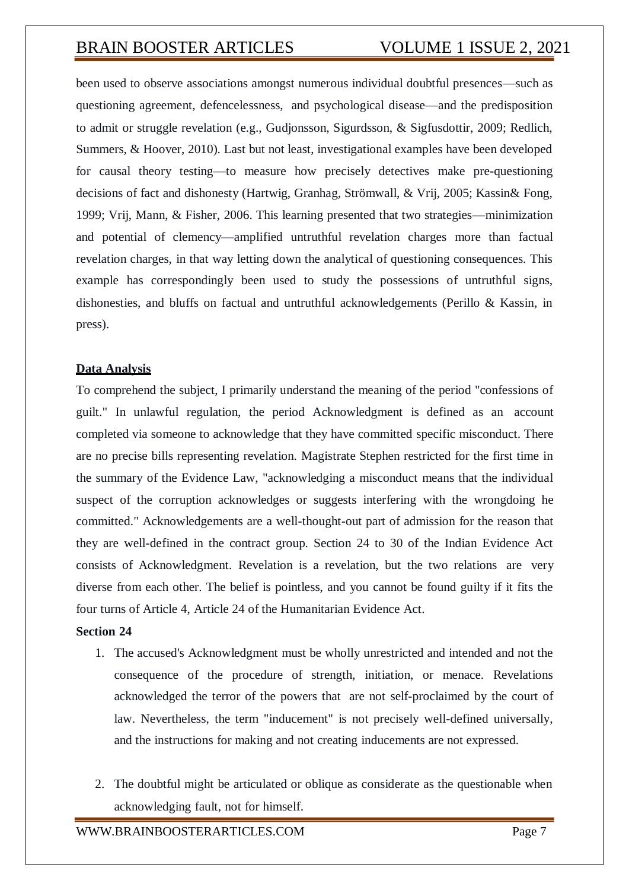been used to observe associations amongst numerous individual doubtful presences—such as questioning agreement, defencelessness, and psychological disease—and the predisposition to admit or struggle revelation (e.g., Gudjonsson, Sigurdsson, & Sigfusdottir, 2009; Redlich, Summers, & Hoover, 2010). Last but not least, investigational examples have been developed for causal theory testing—to measure how precisely detectives make pre-questioning decisions of fact and dishonesty (Hartwig, Granhag, Strömwall, & Vrij, 2005; Kassin& Fong, 1999; Vrij, Mann, & Fisher, 2006. This learning presented that two strategies—minimization and potential of clemency—amplified untruthful revelation charges more than factual revelation charges, in that way letting down the analytical of questioning consequences. This example has correspondingly been used to study the possessions of untruthful signs, dishonesties, and bluffs on factual and untruthful acknowledgements (Perillo & Kassin, in press).

## **Data Analysis**

To comprehend the subject, I primarily understand the meaning of the period "confessions of guilt." In unlawful regulation, the period Acknowledgment is defined as an account completed via someone to acknowledge that they have committed specific misconduct. There are no precise bills representing revelation. Magistrate Stephen restricted for the first time in the summary of the Evidence Law, "acknowledging a misconduct means that the individual suspect of the corruption acknowledges or suggests interfering with the wrongdoing he committed." Acknowledgements are a well-thought-out part of admission for the reason that they are well-defined in the contract group. Section 24 to 30 of the Indian Evidence Act consists of Acknowledgment. Revelation is a revelation, but the two relations are very diverse from each other. The belief is pointless, and you cannot be found guilty if it fits the four turns of Article 4, Article 24 of the Humanitarian Evidence Act.

## **Section 24**

- 1. The accused's Acknowledgment must be wholly unrestricted and intended and not the consequence of the procedure of strength, initiation, or menace. Revelations acknowledged the terror of the powers that are not self-proclaimed by the court of law. Nevertheless, the term "inducement" is not precisely well-defined universally, and the instructions for making and not creating inducements are not expressed.
- 2. The doubtful might be articulated or oblique as considerate as the questionable when acknowledging fault, not for himself.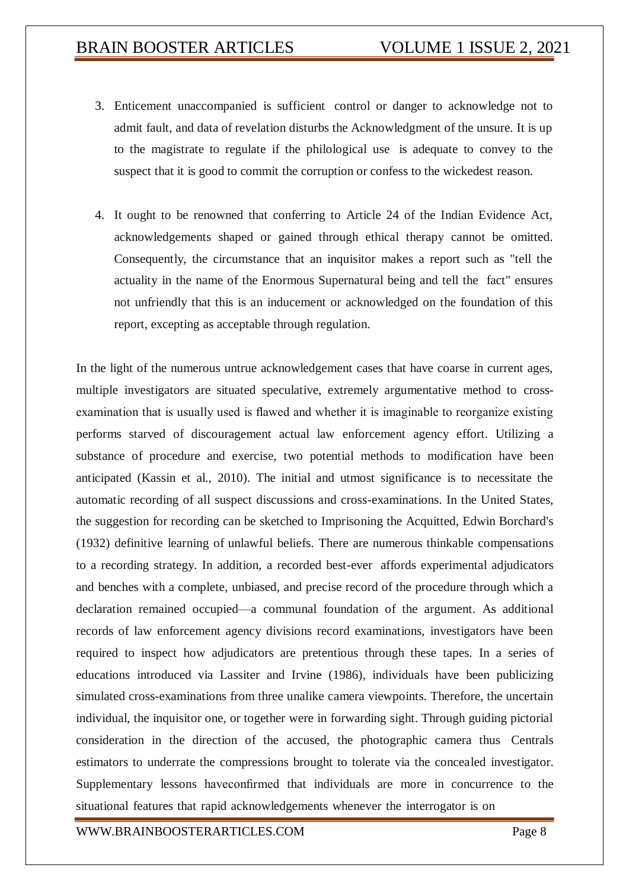- 3. Enticement unaccompanied is sufficient control or danger to acknowledge not to admit fault, and data of revelation disturbs the Acknowledgment of the unsure. It is up to the magistrate to regulate if the philological use is adequate to convey to the suspect that it is good to commit the corruption or confess to the wickedest reason.
- 4. It ought to be renowned that conferring to Article 24 of the Indian Evidence Act, acknowledgements shaped or gained through ethical therapy cannot be omitted. Consequently, the circumstance that an inquisitor makes a report such as "tell the actuality in the name of the Enormous Supernatural being and tell the fact" ensures not unfriendly that this is an inducement or acknowledged on the foundation of this report, excepting as acceptable through regulation.

In the light of the numerous untrue acknowledgement cases that have coarse in current ages, multiple investigators are situated speculative, extremely argumentative method to crossexamination that is usually used is flawed and whether it is imaginable to reorganize existing performs starved of discouragement actual law enforcement agency effort. Utilizing a substance of procedure and exercise, two potential methods to modification have been anticipated (Kassin et al., 2010). The initial and utmost significance is to necessitate the automatic recording of all suspect discussions and cross-examinations. In the United States, the suggestion for recording can be sketched to Imprisoning the Acquitted, Edwin Borchard's (1932) definitive learning of unlawful beliefs. There are numerous thinkable compensations to a recording strategy. In addition, a recorded best-ever affords experimental adjudicators and benches with a complete, unbiased, and precise record of the procedure through which a declaration remained occupied—a communal foundation of the argument. As additional records of law enforcement agency divisions record examinations, investigators have been required to inspect how adjudicators are pretentious through these tapes. In a series of educations introduced via Lassiter and Irvine (1986), individuals have been publicizing simulated cross-examinations from three unalike camera viewpoints. Therefore, the uncertain individual, the inquisitor one, or together were in forwarding sight. Through guiding pictorial consideration in the direction of the accused, the photographic camera thus Centrals estimators to underrate the compressions brought to tolerate via the concealed investigator. Supplementary lessons haveconfirmed that individuals are more in concurrence to the situational features that rapid acknowledgements whenever the interrogator is on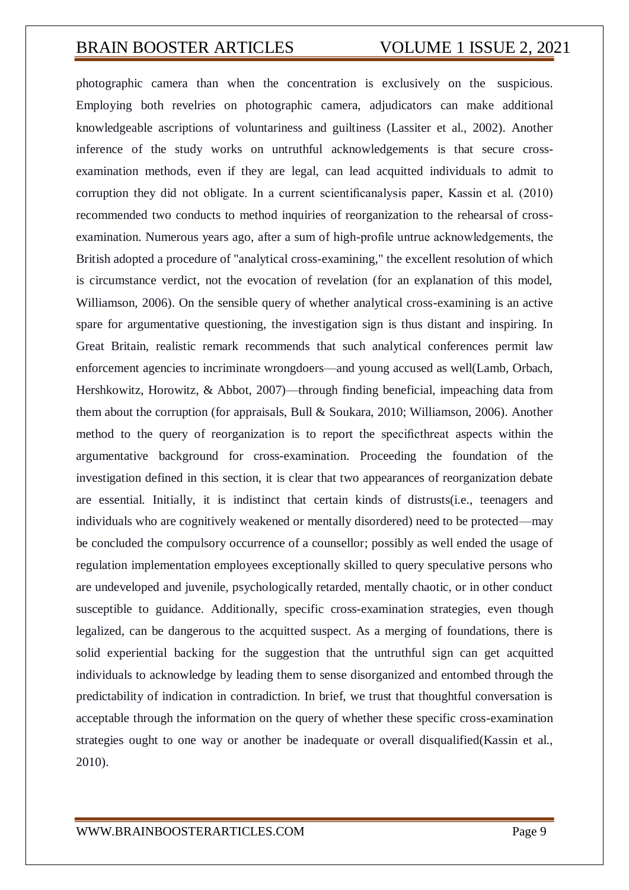photographic camera than when the concentration is exclusively on the suspicious. Employing both revelries on photographic camera, adjudicators can make additional knowledgeable ascriptions of voluntariness and guiltiness (Lassiter et al., 2002). Another inference of the study works on untruthful acknowledgements is that secure crossexamination methods, even if they are legal, can lead acquitted individuals to admit to corruption they did not obligate. In a current scientificanalysis paper, Kassin et al. (2010) recommended two conducts to method inquiries of reorganization to the rehearsal of crossexamination. Numerous years ago, after a sum of high-profile untrue acknowledgements, the British adopted a procedure of "analytical cross-examining," the excellent resolution of which is circumstance verdict, not the evocation of revelation (for an explanation of this model, Williamson, 2006). On the sensible query of whether analytical cross-examining is an active spare for argumentative questioning, the investigation sign is thus distant and inspiring. In Great Britain, realistic remark recommends that such analytical conferences permit law enforcement agencies to incriminate wrongdoers—and young accused as well(Lamb, Orbach, Hershkowitz, Horowitz, & Abbot, 2007)—through finding beneficial, impeaching data from them about the corruption (for appraisals, Bull & Soukara, 2010; Williamson, 2006). Another method to the query of reorganization is to report the specificthreat aspects within the argumentative background for cross-examination. Proceeding the foundation of the investigation defined in this section, it is clear that two appearances of reorganization debate are essential. Initially, it is indistinct that certain kinds of distrusts(i.e., teenagers and individuals who are cognitively weakened or mentally disordered) need to be protected—may be concluded the compulsory occurrence of a counsellor; possibly as well ended the usage of regulation implementation employees exceptionally skilled to query speculative persons who are undeveloped and juvenile, psychologically retarded, mentally chaotic, or in other conduct susceptible to guidance. Additionally, specific cross-examination strategies, even though legalized, can be dangerous to the acquitted suspect. As a merging of foundations, there is solid experiential backing for the suggestion that the untruthful sign can get acquitted individuals to acknowledge by leading them to sense disorganized and entombed through the predictability of indication in contradiction. In brief, we trust that thoughtful conversation is acceptable through the information on the query of whether these specific cross-examination strategies ought to one way or another be inadequate or overall disqualified(Kassin et al., 2010).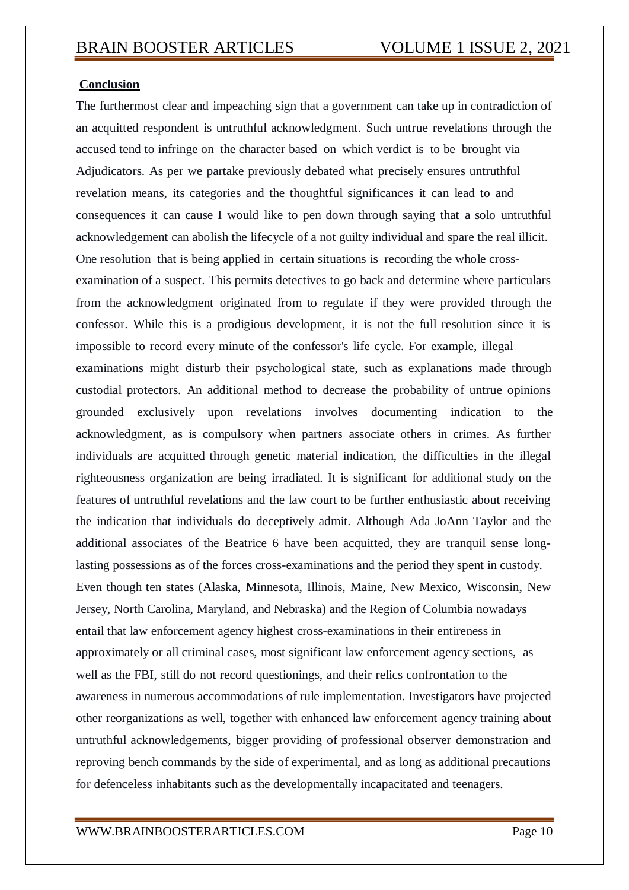## **Conclusion**

The furthermost clear and impeaching sign that a government can take up in contradiction of an acquitted respondent is untruthful acknowledgment. Such untrue revelations through the accused tend to infringe on the character based on which verdict is to be brought via Adjudicators. As per we partake previously debated what precisely ensures untruthful revelation means, its categories and the thoughtful significances it can lead to and consequences it can cause I would like to pen down through saying that a solo untruthful acknowledgement can abolish the lifecycle of a not guilty individual and spare the real illicit. One resolution that is being applied in certain situations is recording the whole crossexamination of a suspect. This permits detectives to go back and determine where particulars from the acknowledgment originated from to regulate if they were provided through the confessor. While this is a prodigious development, it is not the full resolution since it is impossible to record every minute of the confessor's life cycle. For example, illegal examinations might disturb their psychological state, such as explanations made through custodial protectors. An additional method to decrease the probability of untrue opinions grounded exclusively upon revelations involves [documenting](http://papers.ssrn.com/sol3/papers.cfm?abstract_id=1651471) indication to the acknowledgment, as is compulsory when partners associate others in crimes. As further individuals are acquitted through genetic material indication, the difficulties in the illegal righteousness organization are being irradiated. It is significant for additional study on the features of untruthful revelations and the law court to be further enthusiastic about receiving the indication that individuals do deceptively admit. Although Ada JoAnn Taylor and the additional associates of the Beatrice 6 have been acquitted, they are tranquil sense longlasting possessions as of the forces cross-examinations and the period they spent in custody. Even though ten states (Alaska, Minnesota, Illinois, Maine, New Mexico, Wisconsin, New Jersey, North Carolina, Maryland, and Nebraska) and the Region of Columbia nowadays entail that law enforcement agency highest cross-examinations in their entireness in approximately or all criminal cases, most significant law enforcement agency sections, as well as the FBI, still do not record questionings, and their relics confrontation to the awareness in numerous accommodations of rule implementation. Investigators have projected other reorganizations as well, together with enhanced law enforcement agency training about untruthful acknowledgements, bigger providing of professional observer demonstration and reproving bench commands by the side of experimental, and as long as additional precautions for defenceless inhabitants such as the developmentally incapacitated and teenagers.